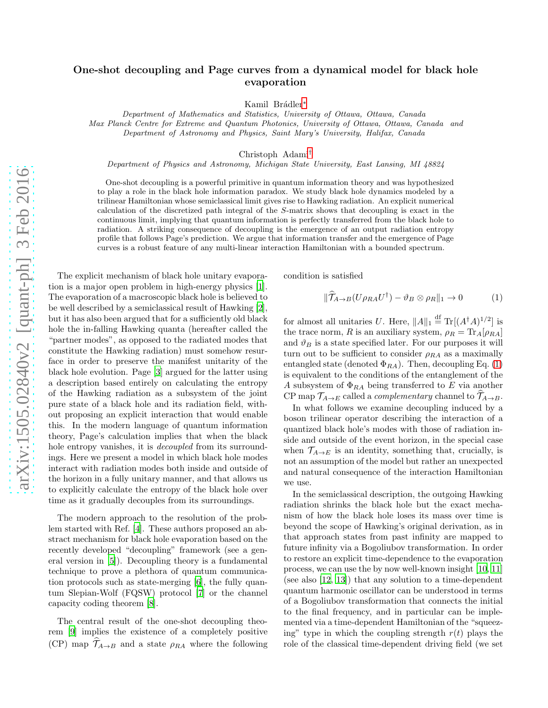## One-shot decoupling and Page curves from a dynamical model for black hole evaporation

Kamil Brádler<sup>\*</sup>

*Department of Mathematics and Statistics, University of Ottawa, Ottawa, Canada Max Planck Centre for Extreme and Quantum Photonics, University of Ottawa, Ottawa, Canada and Department of Astronomy and Physics, Saint Mary's University, Halifax, Canada*

Christoph Adami[†](#page-4-1)

*Department of Physics and Astronomy, Michigan State University, East Lansing, MI 48824*

One-shot decoupling is a powerful primitive in quantum information theory and was hypothesized to play a role in the black hole information paradox. We study black hole dynamics modeled by a trilinear Hamiltonian whose semiclassical limit gives rise to Hawking radiation. An explicit numerical calculation of the discretized path integral of the S-matrix shows that decoupling is exact in the continuous limit, implying that quantum information is perfectly transferred from the black hole to radiation. A striking consequence of decoupling is the emergence of an output radiation entropy profile that follows Page's prediction. We argue that information transfer and the emergence of Page curves is a robust feature of any multi-linear interaction Hamiltonian with a bounded spectrum.

The explicit mechanism of black hole unitary evaporation is a major open problem in high-energy physics [\[1\]](#page-4-2). The evaporation of a macroscopic black hole is believed to be well described by a semiclassical result of Hawking [\[2\]](#page-4-3), but it has also been argued that for a sufficiently old black hole the in-falling Hawking quanta (hereafter called the "partner modes", as opposed to the radiated modes that constitute the Hawking radiation) must somehow resurface in order to preserve the manifest unitarity of the black hole evolution. Page [\[3](#page-4-4)] argued for the latter using a description based entirely on calculating the entropy of the Hawking radiation as a subsystem of the joint pure state of a black hole and its radiation field, without proposing an explicit interaction that would enable this. In the modern language of quantum information theory, Page's calculation implies that when the black hole entropy vanishes, it is decoupled from its surroundings. Here we present a model in which black hole modes interact with radiation modes both inside and outside of the horizon in a fully unitary manner, and that allows us to explicitly calculate the entropy of the black hole over time as it gradually decouples from its surroundings.

The modern approach to the resolution of the problem started with Ref. [\[4](#page-4-5)]. These authors proposed an abstract mechanism for black hole evaporation based on the recently developed "decoupling" framework (see a general version in [\[5\]](#page-4-6)). Decoupling theory is a fundamental technique to prove a plethora of quantum communication protocols such as state-merging [\[6\]](#page-4-7), the fully quantum Slepian-Wolf (FQSW) protocol [\[7\]](#page-4-8) or the channel capacity coding theorem [\[8\]](#page-4-9).

The central result of the one-shot decoupling theorem [\[9\]](#page-4-10) implies the existence of a completely positive (CP) map  $\widehat{\mathcal{T}}_{A\rightarrow B}$  and a state  $\rho_{RA}$  where the following condition is satisfied

<span id="page-0-0"></span>
$$
\|\widehat{\mathcal{T}}_{A\to B}(U\rho_{RA}U^{\dagger}) - \vartheta_B \otimes \rho_R\|_1 \to 0 \tag{1}
$$

for almost all unitaries U. Here,  $||A||_1 \stackrel{\text{df}}{=} \text{Tr}[(A^{\dagger}A)^{1/2}]$  is the trace norm, R is an auxiliary system,  $\rho_R = \text{Tr}_A[\rho_{RA}]$ and  $\vartheta_B$  is a state specified later. For our purposes it will turn out to be sufficient to consider  $\rho_{RA}$  as a maximally entangled state (denoted  $\Phi_{RA}$ ). Then, decoupling Eq. [\(1\)](#page-0-0) is equivalent to the conditions of the entanglement of the A subsystem of  $\Phi_{RA}$  being transferred to E via another CP map  $\mathcal{T}_{A\to E}$  called a *complementary* channel to  $\mathcal{T}_{A\to B}$ .

In what follows we examine decoupling induced by a boson trilinear operator describing the interaction of a quantized black hole's modes with those of radiation inside and outside of the event horizon, in the special case when  $\mathcal{T}_{A\rightarrow E}$  is an identity, something that, crucially, is not an assumption of the model but rather an unexpected and natural consequence of the interaction Hamiltonian we use.

In the semiclassical description, the outgoing Hawking radiation shrinks the black hole but the exact mechanism of how the black hole loses its mass over time is beyond the scope of Hawking's original derivation, as in that approach states from past infinity are mapped to future infinity via a Bogoliubov transformation. In order to restore an explicit time-dependence to the evaporation process, we can use the by now well-known insight [\[10](#page-4-11), [11](#page-4-12)] (see also [\[12,](#page-4-13) [13\]](#page-4-14)) that any solution to a time-dependent quantum harmonic oscillator can be understood in terms of a Bogoliubov transformation that connects the initial to the final frequency, and in particular can be implemented via a time-dependent Hamiltonian of the "squeezing" type in which the coupling strength  $r(t)$  plays the role of the classical time-dependent driving field (we set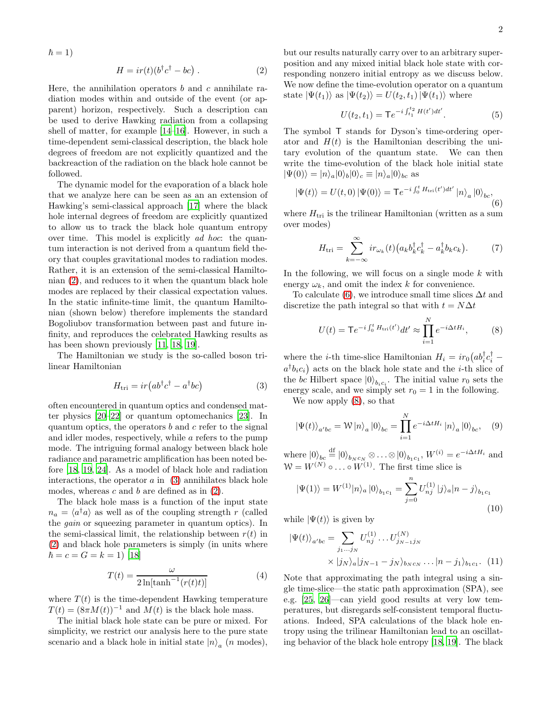$\hbar = 1$ 

<span id="page-1-0"></span>
$$
H = ir(t)(b†c† - bc) .
$$
 (2)

Here, the annihilation operators  $b$  and  $c$  annihilate radiation modes within and outside of the event (or apparent) horizon, respectively. Such a description can be used to derive Hawking radiation from a collapsing shell of matter, for example [\[14](#page-4-15)[–16](#page-4-16)]. However, in such a time-dependent semi-classical description, the black hole degrees of freedom are not explicitly quantized and the backreaction of the radiation on the black hole cannot be followed.

The dynamic model for the evaporation of a black hole that we analyze here can be seen as an an extension of Hawking's semi-classical approach [\[17\]](#page-4-17) where the black hole internal degrees of freedom are explicitly quantized to allow us to track the black hole quantum entropy over time. This model is explicitly ad hoc: the quantum interaction is not derived from a quantum field theory that couples gravitational modes to radiation modes. Rather, it is an extension of the semi-classical Hamiltonian [\(2\)](#page-1-0), and reduces to it when the quantum black hole modes are replaced by their classical expectation values. In the static infinite-time limit, the quantum Hamiltonian (shown below) therefore implements the standard Bogoliubov transformation between past and future infinity, and reproduces the celebrated Hawking results as has been shown previously [\[11,](#page-4-12) [18,](#page-4-18) [19](#page-4-19)].

The Hamiltonian we study is the so-called boson trilinear Hamiltonian

<span id="page-1-1"></span>
$$
H_{\rm tri} = ir \left( ab^{\dagger} c^{\dagger} - a^{\dagger} bc \right) \tag{3}
$$

often encountered in quantum optics and condensed matter physics [\[20](#page-4-20)[–22\]](#page-4-21) or quantum optomechanics [\[23](#page-4-22)]. In quantum optics, the operators  $b$  and  $c$  refer to the signal and idler modes, respectively, while a refers to the pump mode. The intriguing formal analogy between black hole radiance and parametric amplification has been noted before [\[18,](#page-4-18) [19,](#page-4-19) [24\]](#page-4-23). As a model of black hole and radiation interactions, the operator  $a$  in  $(3)$  annihilates black hole modes, whereas  $c$  and  $b$  are defined as in  $(2)$ .

The black hole mass is a function of the input state  $n_a = \langle a^{\dagger} a \rangle$  as well as of the coupling strength r (called the gain or squeezing parameter in quantum optics). In the semi-classical limit, the relationship between  $r(t)$  in [\(2\)](#page-1-0) and black hole parameters is simply (in units where  $\hbar = c = G = k = 1)$  [\[18](#page-4-18)]

$$
T(t) = \frac{\omega}{2\ln[\tanh^{-1}(r(t)t)]}
$$
\n(4)

where  $T(t)$  is the time-dependent Hawking temperature  $T(t) = (8\pi M(t))^{-1}$  and  $M(t)$  is the black hole mass.

The initial black hole state can be pure or mixed. For simplicity, we restrict our analysis here to the pure state scenario and a black hole in initial state  $|n\rangle_a$  (*n* modes),

but our results naturally carry over to an arbitrary superposition and any mixed initial black hole state with corresponding nonzero initial entropy as we discuss below. We now define the time-evolution operator on a quantum state  $|\Psi(t_1)\rangle$  as  $|\Psi(t_2)\rangle = U(t_2, t_1)|\Psi(t_1)\rangle$  where

$$
U(t_2, t_1) = \mathsf{T}e^{-i\int_{t_1}^{t_2} H(t')dt'}.
$$
 (5)

The symbol T stands for Dyson's time-ordering operator and  $H(t)$  is the Hamiltonian describing the unitary evolution of the quantum state. We can then write the time-evolution of the black hole initial state  $|\Psi(0)\rangle = |n\rangle_a|0\rangle_b|0\rangle_c \equiv |n\rangle_a|0\rangle_{bc}$  as

<span id="page-1-2"></span>
$$
|\Psi(t)\rangle = U(t,0) |\Psi(0)\rangle = \mathsf{T}e^{-i\int_0^t H_{\text{tri}}(t')dt'} |n\rangle_a |0\rangle_{bc},
$$
\n(6)

where  $H_{\text{tri}}$  is the trilinear Hamiltonian (written as a sum over modes)

$$
H_{\rm tri} = \sum_{k=-\infty}^{\infty} i r_{\omega_k}(t) \left( a_k b_k^{\dagger} c_k^{\dagger} - a_k^{\dagger} b_k c_k \right). \tag{7}
$$

In the following, we will focus on a single mode  $k$  with energy  $\omega_k$ , and omit the index k for convenience.

To calculate [\(6\)](#page-1-2), we introduce small time slices  $\Delta t$  and discretize the path integral so that with  $t = N\Delta t$ 

<span id="page-1-3"></span>
$$
U(t) = \mathsf{T}e^{-i\int_0^t H_{\rm tri}(t')}dt' \approx \prod_{i=1}^N e^{-i\Delta t H_i},\qquad(8)
$$

where the *i*-th time-slice Hamiltonian  $H_i = ir_0\left(a b_i^{\dagger} c_i^{\dagger} - \right)$  $a^{\dagger}b_ic_i$  acts on the black hole state and the *i*-th slice of the *bc* Hilbert space  $|0\rangle_{b_ic_i}$ . The initial value  $r_0$  sets the energy scale, and we simply set  $r_0 = 1$  in the following.

We now apply [\(8\)](#page-1-3), so that

$$
\left|\Psi(t)\right\rangle_{a'bc} = \mathcal{W}\left|n\right\rangle_a\left|0\right\rangle_{bc} = \prod_{i=1}^N e^{-i\Delta t H_i} \left|n\right\rangle_a\left|0\right\rangle_{bc},\quad(9)
$$

where  $|0\rangle_{bc} \stackrel{\text{df}}{=} |0\rangle_{b_Nc_N} \otimes \ldots \otimes |0\rangle_{b_1c_1}, W^{(i)} = e^{-i\Delta t H_i}$  and  $W = W^{(N)} \circ \dots \circ W^{(1)}$ . The first time slice is

<span id="page-1-5"></span>
$$
|\Psi(1)\rangle = W^{(1)}|n\rangle_a |0\rangle_{b_1c_1} = \sum_{j=0}^n U_{nj}^{(1)} |j\rangle_a |n-j\rangle_{b_1c_1}
$$
\n(10)

while  $|\Psi(t)\rangle$  is given by

<span id="page-1-4"></span>
$$
\begin{aligned} |\Psi(t)\rangle_{a'bc} &= \sum_{j_1\ldots j_N} U_{nj}^{(1)} \ldots U_{j_{N-1}j_N}^{(N)} \\ &\times |j_N\rangle_a |j_{N-1} - j_N\rangle_{b_N c_N} \ldots |n - j_1\rangle_{b_1 c_1}. \end{aligned} \tag{11}
$$

Note that approximating the path integral using a single time-slice—the static path approximation (SPA), see e.g. [\[25,](#page-4-24) [26](#page-4-25)]—can yield good results at very low temperatures, but disregards self-consistent temporal fluctuations. Indeed, SPA calculations of the black hole entropy using the trilinear Hamiltonian lead to an oscillating behavior of the black hole entropy [\[18,](#page-4-18) [19\]](#page-4-19). The black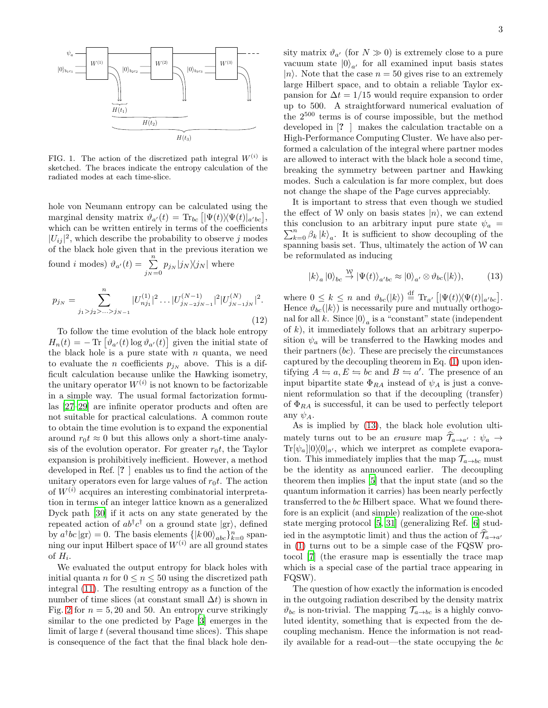

FIG. 1. The action of the discretized path integral  $W^{(i)}$  is sketched. The braces indicate the entropy calculation of the radiated modes at each time-slice.

hole von Neumann entropy can be calculated using the marginal density matrix  $\hat{\vartheta}_{a'}(t) = \text{Tr}_{bc} [|\Psi(t)\rangle \langle \Psi(t)|_{a'bc}],$ which can be written entirely in terms of the coefficients  $|U_{ij}|^2$ , which describe the probability to observe j modes of the black hole given that in the previous iteration we found *i* modes)  $\vartheta_{a'}(t) = \sum_{j_N=0}^n p_{j_N} |j_N\rangle\langle j_N|$  where

<span id="page-2-1"></span>
$$
p_{j_N} = \sum_{j_1 > j_2 > \dots > j_{N-1}}^n |U_{nj_1}^{(1)}|^2 \dots |U_{j_{N-2}j_{N-1}}^{(N-1)}|^2 |U_{j_{N-1}j_N}^{(N)}|^2.
$$
\n(12)

To follow the time evolution of the black hole entropy  $H_n(t) = -\text{Tr} \left[ \vartheta_{a'}(t) \log \vartheta_{a'}(t) \right]$  given the initial state of the black hole is a pure state with  $n$  quanta, we need to evaluate the *n* coefficients  $p_{jN}$  above. This is a difficult calculation because unlike the Hawking isometry, the unitary operator  $W^{(i)}$  is not known to be factorizable in a simple way. The usual formal factorization formulas [\[27](#page-4-26)[–29\]](#page-4-27) are infinite operator products and often are not suitable for practical calculations. A common route to obtain the time evolution is to expand the exponential around  $r_0 t \approx 0$  but this allows only a short-time analysis of the evolution operator. For greater  $r_0t$ , the Taylor expansion is prohibitively inefficient. However, a method developed in Ref. [? ] enables us to find the action of the unitary operators even for large values of  $r_0t$ . The action of  $W^{(i)}$  acquires an interesting combinatorial interpretation in terms of an integer lattice known as a generalized Dyck path [\[30](#page-4-28)] if it acts on any state generated by the repeated action of  $ab^{\dagger}c^{\dagger}$  on a ground state  $|$ gr $\rangle$ , defined by  $a^{\dagger}bc|$ gr $\rangle = 0$ . The basis elements  $\{|k00\rangle_{abc}\}_{k=0}^{n}$  spanning our input Hilbert space of  $W^{(i)}$  are all ground states of  $H_i$ .

We evaluated the output entropy for black holes with initial quanta n for  $0 \le n \le 50$  using the discretized path integral [\(11\)](#page-1-4). The resulting entropy as a function of the number of time slices (at constant small  $\Delta t$ ) is shown in Fig. [2](#page-3-0) for  $n = 5, 20$  and 50. An entropy curve strikingly similar to the one predicted by Page [\[3\]](#page-4-4) emerges in the limit of large  $t$  (several thousand time slices). This shape is consequence of the fact that the final black hole den-

sity matrix  $\vartheta_{a'}$  (for  $N \gg 0$ ) is extremely close to a pure vacuum state  $|0\rangle_{a'}$  for all examined input basis states  $|n\rangle$ . Note that the case  $n = 50$  gives rise to an extremely large Hilbert space, and to obtain a reliable Taylor expansion for  $\Delta t = 1/15$  would require expansion to order up to 500. A straightforward numerical evaluation of the  $2^{500}$  terms is of course impossible, but the method developed in [? ] makes the calculation tractable on a High-Performance Computing Cluster. We have also performed a calculation of the integral where partner modes are allowed to interact with the black hole a second time, breaking the symmetry between partner and Hawking modes. Such a calculation is far more complex, but does not change the shape of the Page curves appreciably.

It is important to stress that even though we studied the effect of W only on basis states  $|n\rangle$ , we can extend  $\sum_{k=0}^{n} \beta_k |k\rangle_a$ . It is sufficient to show decoupling of the this conclusion to an arbitrary input pure state  $\psi_a$  = spanning basis set. Thus, ultimately the action of W can be reformulated as inducing

<span id="page-2-0"></span>
$$
|k\rangle_a\,|0\rangle_{bc} \stackrel{\mathcal{W}}{\rightarrow} |\Psi(t)\rangle_{a'bc} \approx |0\rangle_{a'} \otimes \vartheta_{bc}(|k\rangle),\tag{13}
$$

where  $0 \leq k \leq n$  and  $\vartheta_{bc}(|k\rangle) \stackrel{\text{df}}{=} \text{Tr}_{a'} [|\Psi(t)\rangle \langle \Psi(t)|_{a'bc}]$ . Hence  $\vartheta_{bc}(|k\rangle)$  is necessarily pure and mutually orthogonal for all k. Since  $|0\rangle_a$  is a "constant" state (independent of  $k$ ), it immediately follows that an arbitrary superposition  $\psi_a$  will be transferred to the Hawking modes and their partners  $(bc)$ . These are precisely the circumstances captured by the decoupling theorem in Eq. [\(1\)](#page-0-0) upon identifying  $A \leftrightharpoons a, E \leftrightharpoons bc$  and  $B \leftrightharpoons a'$ . The presence of an input bipartite state  $\Phi_{RA}$  instead of  $\psi_A$  is just a convenient reformulation so that if the decoupling (transfer) of  $\Phi_{RA}$  is successful, it can be used to perfectly teleport any  $\psi_A$ .

As is implied by [\(13\)](#page-2-0), the black hole evolution ultimately turns out to be an *erasure* map  $\mathcal{T}_{a\to a'} : \psi_a \to$  $Tr[\psi_a]|0\rangle\langle0|_{a'},$  which we interpret as complete evaporation. This immediately implies that the map  $\mathcal{T}_{a\rightarrow bc}$  must be the identity as announced earlier. The decoupling theorem then implies [\[5](#page-4-6)] that the input state (and so the quantum information it carries) has been nearly perfectly transferred to the bc Hilbert space. What we found therefore is an explicit (and simple) realization of the one-shot state merging protocol [\[5,](#page-4-6) [31\]](#page-4-29) (generalizing Ref. [\[6](#page-4-7)] studied in the asymptotic limit) and thus the action of  $\mathcal{T}_{a\rightarrow a'}$ in [\(1\)](#page-0-0) turns out to be a simple case of the FQSW protocol [\[7\]](#page-4-8) (the erasure map is essentially the trace map which is a special case of the partial trace appearing in FQSW).

The question of how exactly the information is encoded in the outgoing radiation described by the density matrix  $\vartheta_{bc}$  is non-trivial. The mapping  $\mathcal{T}_{a\rightarrow bc}$  is a highly convoluted identity, something that is expected from the decoupling mechanism. Hence the information is not readily available for a read-out—the state occupying the bc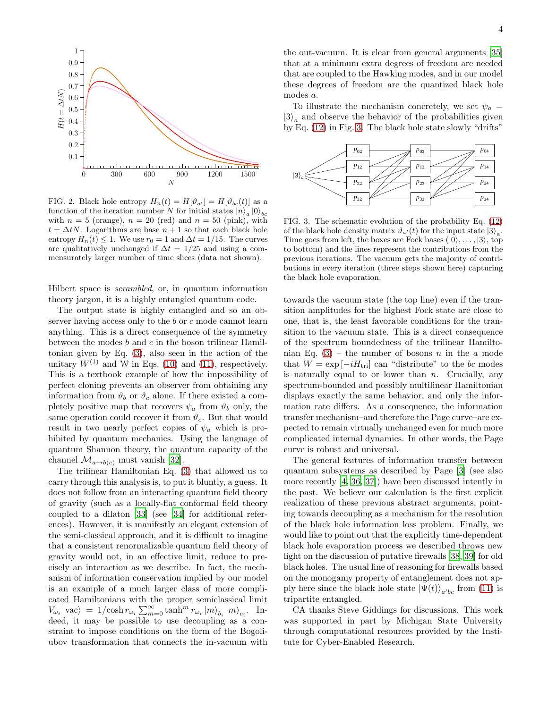

<span id="page-3-0"></span>FIG. 2. Black hole entropy  $H_n(t) = H[\vartheta_{a'}] = H[\vartheta_{bc}(t)]$  as a function of the iteration number N for initial states  $|n\rangle_a |0\rangle_b$ with  $n = 5$  (orange),  $n = 20$  (red) and  $n = 50$  (pink), with  $t = \Delta t N$ . Logarithms are base  $n + 1$  so that each black hole entropy  $H_n(t) \leq 1$ . We use  $r_0 = 1$  and  $\Delta t = 1/15$ . The curves are qualitatively unchanged if  $\Delta t = 1/25$  and using a commensurately larger number of time slices (data not shown).

Hilbert space is scrambled, or, in quantum information theory jargon, it is a highly entangled quantum code.

The output state is highly entangled and so an observer having access only to the b or c mode cannot learn anything. This is a direct consequence of the symmetry between the modes  $b$  and  $c$  in the boson trilinear Hamiltonian given by Eq. [\(3\)](#page-1-1), also seen in the action of the unitary  $W^{(1)}$  and W in Eqs. [\(10\)](#page-1-5) and [\(11\)](#page-1-4), respectively. This is a textbook example of how the impossibility of perfect cloning prevents an observer from obtaining any information from  $\vartheta_b$  or  $\vartheta_c$  alone. If there existed a completely positive map that recovers  $\psi_a$  from  $\vartheta_b$  only, the same operation could recover it from  $\vartheta_c$ . But that would result in two nearly perfect copies of  $\psi_a$  which is prohibited by quantum mechanics. Using the language of quantum Shannon theory, the quantum capacity of the channel  $\mathcal{M}_{a\to b(c)}$  must vanish [\[32\]](#page-4-30).

The trilinear Hamiltonian Eq. [\(3\)](#page-1-1) that allowed us to carry through this analysis is, to put it bluntly, a guess. It does not follow from an interacting quantum field theory of gravity (such as a locally-flat conformal field theory coupled to a dilaton [\[33\]](#page-4-31) (see [\[34\]](#page-4-32) for additional references). However, it is manifestly an elegant extension of the semi-classical approach, and it is difficult to imagine that a consistent renormalizable quantum field theory of gravity would not, in an effective limit, reduce to precisely an interaction as we describe. In fact, the mechanism of information conservation implied by our model is an example of a much larger class of more complicated Hamiltonians with the proper semiclassical limit  $V_{\omega_i} |{\rm vac} \rangle \ = \ 1/{\cosh r_{\omega_i}} \sum_{m=0}^{\infty} \tanh^m r_{\omega_i} \ket{m}_{b_i} \ket{m}_{c_i}. \quad {\rm In-1}$ deed, it may be possible to use decoupling as a constraint to impose conditions on the form of the Bogoliubov transformation that connects the in-vacuum with

the out-vacuum. It is clear from general arguments [\[35](#page-4-33)] that at a minimum extra degrees of freedom are needed that are coupled to the Hawking modes, and in our model these degrees of freedom are the quantized black hole modes a.

To illustrate the mechanism concretely, we set  $\psi_a =$  $|3\rangle_a$  and observe the behavior of the probabilities given by Eq. [\(12\)](#page-2-1) in Fig. [3.](#page-3-1) The black hole state slowly "drifts"



<span id="page-3-1"></span>FIG. 3. The schematic evolution of the probability Eq. [\(12\)](#page-2-1) of the black hole density matrix  $\vartheta_{a'}(t)$  for the input state  $|3\rangle_a$ . Time goes from left, the boxes are Fock bases  $(|0\rangle, \ldots, |3\rangle,$  top to bottom) and the lines represent the contributions from the previous iterations. The vacuum gets the majority of contributions in every iteration (three steps shown here) capturing the black hole evaporation.

towards the vacuum state (the top line) even if the transition amplitudes for the highest Fock state are close to one, that is, the least favorable conditions for the transition to the vacuum state. This is a direct consequence of the spectrum boundedness of the trilinear Hamiltonian Eq.  $(3)$  – the number of bosons n in the a mode that  $W = \exp[-iH_{\text{tri}}]$  can "distribute" to the bc modes is naturally equal to or lower than  $n$ . Crucially, any spectrum-bounded and possibly multilinear Hamiltonian displays exactly the same behavior, and only the information rate differs. As a consequence, the information transfer mechanism–and therefore the Page curve–are expected to remain virtually unchanged even for much more complicated internal dynamics. In other words, the Page curve is robust and universal.

The general features of information transfer between quantum subsystems as described by Page [\[3\]](#page-4-4) (see also more recently [\[4,](#page-4-5) [36,](#page-4-34) [37\]](#page-4-35)) have been discussed intently in the past. We believe our calculation is the first explicit realization of these previous abstract arguments, pointing towards decoupling as a mechanism for the resolution of the black hole information loss problem. Finally, we would like to point out that the explicitly time-dependent black hole evaporation process we described throws new light on the discussion of putative firewalls [\[38,](#page-4-36) [39](#page-4-37)] for old black holes. The usual line of reasoning for firewalls based on the monogamy property of entanglement does not apply here since the black hole state  $|\Psi(t)\rangle_{a'bc}$  from [\(11\)](#page-1-4) is tripartite entangled.

CA thanks Steve Giddings for discussions. This work was supported in part by Michigan State University through computational resources provided by the Institute for Cyber-Enabled Research.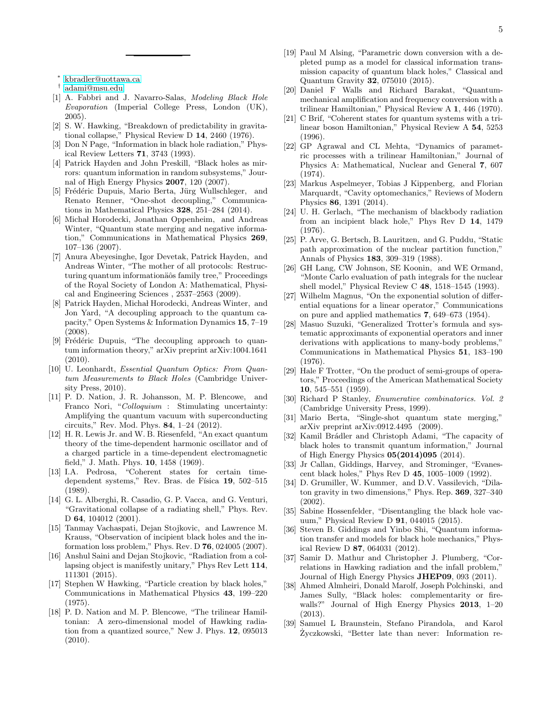∗ [kbradler@uottawa.ca](mailto:kbradler@uottawa.ca)

- <span id="page-4-1"></span><span id="page-4-0"></span>† [adami@msu.edu](mailto:adami@msu.edu)
- <span id="page-4-2"></span>[1] A. Fabbri and J. Navarro-Salas, *Modeling Black Hole Evaporation* (Imperial College Press, London (UK), 2005).
- <span id="page-4-3"></span>[2] S. W. Hawking, "Breakdown of predictability in gravitational collapse," Physical Review D 14, 2460 (1976).
- <span id="page-4-4"></span>[3] Don N Page, "Information in black hole radiation," Physical Review Letters 71, 3743 (1993).
- <span id="page-4-5"></span>[4] Patrick Hayden and John Preskill, "Black holes as mirrors: quantum information in random subsystems," Journal of High Energy Physics 2007, 120 (2007).
- <span id="page-4-6"></span>[5] Frédéric Dupuis, Mario Berta, Jürg Wullschleger, and Renato Renner, "One-shot decoupling," Communications in Mathematical Physics 328, 251–284 (2014).
- <span id="page-4-7"></span>[6] Michał Horodecki, Jonathan Oppenheim, and Andreas Winter, "Quantum state merging and negative information," Communications in Mathematical Physics 269, 107–136 (2007).
- <span id="page-4-8"></span>[7] Anura Abeyesinghe, Igor Devetak, Patrick Hayden, and Andreas Winter, "The mother of all protocols: Restructuring quantum informationäôs family tree," Proceedings of the Royal Society of London A: Mathematical, Physical and Engineering Sciences , 2537–2563 (2009).
- <span id="page-4-9"></span>[8] Patrick Hayden, Michal Horodecki, Andreas Winter, and Jon Yard, "A decoupling approach to the quantum capacity," Open Systems & Information Dynamics 15, 7–19 (2008).
- <span id="page-4-10"></span>[9] Frédéric Dupuis, "The decoupling approach to quantum information theory," arXiv preprint arXiv:1004.1641 (2010).
- <span id="page-4-11"></span>[10] U. Leonhardt, *Essential Quantum Optics: From Quantum Measurements to Black Holes* (Cambridge University Press, 2010).
- <span id="page-4-12"></span>[11] P. D. Nation, J. R. Johansson, M. P. Blencowe, and Franco Nori, "*Colloquium* : Stimulating uncertainty: Amplifying the quantum vacuum with superconducting circuits," Rev. Mod. Phys. 84, 1–24 (2012).
- <span id="page-4-13"></span>[12] H. R. Lewis Jr. and W. B. Riesenfeld, "An exact quantum theory of the time-dependent harmonic oscillator and of a charged particle in a time-dependent electromagnetic field," J. Math. Phys. 10, 1458 (1969).
- <span id="page-4-14"></span>[13] I.A. Pedrosa, "Coherent states for certain timedependent systems," Rev. Bras. de Física 19, 502–515 (1989).
- <span id="page-4-15"></span>[14] G. L. Alberghi, R. Casadio, G. P. Vacca, and G. Venturi, "Gravitational collapse of a radiating shell," Phys. Rev. D **64**, 104012 (2001).
- [15] Tanmay Vachaspati, Dejan Stojkovic, and Lawrence M. Krauss, "Observation of incipient black holes and the information loss problem," Phys. Rev. D 76, 024005 (2007).
- <span id="page-4-16"></span>[16] Anshul Saini and Dejan Stojkovic, "Radiation from a collapsing object is manifestly unitary," Phys Rev Lett 114, 111301 (2015).
- <span id="page-4-17"></span>[17] Stephen W Hawking, "Particle creation by black holes," Communications in Mathematical Physics 43, 199–220 (1975).
- <span id="page-4-18"></span>[18] P. D. Nation and M. P. Blencowe, "The trilinear Hamiltonian: A zero-dimensional model of Hawking radiation from a quantized source," New J. Phys. 12, 095013 (2010).
- <span id="page-4-19"></span>[19] Paul M Alsing, "Parametric down conversion with a depleted pump as a model for classical information transmission capacity of quantum black holes," Classical and Quantum Gravity 32, 075010 (2015).
- <span id="page-4-20"></span>[20] Daniel F Walls and Richard Barakat, "Quantummechanical amplification and frequency conversion with a trilinear Hamiltonian," Physical Review A 1, 446 (1970).
- [21] C Brif, "Coherent states for quantum systems with a trilinear boson Hamiltonian," Physical Review A 54, 5253 (1996).
- <span id="page-4-21"></span>[22] GP Agrawal and CL Mehta, "Dynamics of parametric processes with a trilinear Hamiltonian," Journal of Physics A: Mathematical, Nuclear and General 7, 607 (1974).
- <span id="page-4-22"></span>[23] Markus Aspelmeyer, Tobias J Kippenberg, and Florian Marquardt, "Cavity optomechanics," Reviews of Modern Physics 86, 1391 (2014).
- <span id="page-4-23"></span>[24] U. H. Gerlach, "The mechanism of blackbody radiation from an incipient black hole," Phys Rev D 14, 1479 (1976).
- <span id="page-4-24"></span>[25] P. Arve, G. Bertsch, B. Lauritzen, and G. Puddu, "Static path approximation of the nuclear partition function," Annals of Physics 183, 309–319 (1988).
- <span id="page-4-25"></span>[26] GH Lang, CW Johnson, SE Koonin, and WE Ormand, "Monte Carlo evaluation of path integrals for the nuclear shell model," Physical Review C 48, 1518–1545 (1993).
- <span id="page-4-26"></span>[27] Wilhelm Magnus, "On the exponential solution of differential equations for a linear operator," Communications on pure and applied mathematics 7, 649–673 (1954).
- [28] Masuo Suzuki, "Generalized Trotter's formula and systematic approximants of exponential operators and inner derivations with applications to many-body problems," Communications in Mathematical Physics 51, 183–190 (1976).
- <span id="page-4-27"></span>[29] Hale F Trotter, "On the product of semi-groups of operators," Proceedings of the American Mathematical Society 10, 545–551 (1959).
- <span id="page-4-28"></span>[30] Richard P Stanley, *Enumerative combinatorics. Vol. 2* (Cambridge University Press, 1999).
- <span id="page-4-29"></span>[31] Mario Berta, "Single-shot quantum state merging," arXiv preprint arXiv:0912.4495 (2009).
- <span id="page-4-30"></span>[32] Kamil Brádler and Christoph Adami, "The capacity of black holes to transmit quantum information," Journal of High Energy Physics 05(2014)095 (2014).
- <span id="page-4-31"></span>[33] Jr Callan, Giddings, Harvey, and Strominger, "Evanescent black holes," Phys Rev D 45, 1005–1009 (1992).
- <span id="page-4-32"></span>[34] D. Grumiller, W. Kummer, and D.V. Vassilevich, "Dilaton gravity in two dimensions," Phys. Rep. 369, 327–340 (2002).
- <span id="page-4-33"></span>[35] Sabine Hossenfelder, "Disentangling the black hole vacuum," Physical Review D 91, 044015 (2015).
- <span id="page-4-34"></span>[36] Steven B. Giddings and Yinbo Shi, "Quantum information transfer and models for black hole mechanics," Physical Review D 87, 064031 (2012).
- <span id="page-4-35"></span>[37] Samir D. Mathur and Christopher J. Plumberg, "Correlations in Hawking radiation and the infall problem," Journal of High Energy Physics JHEP09, 093 (2011).
- <span id="page-4-36"></span>[38] Ahmed Almheiri, Donald Marolf, Joseph Polchinski, and James Sully, "Black holes: complementarity or firewalls?" Journal of High Energy Physics 2013, 1–20 (2013).
- <span id="page-4-37"></span>[39] Samuel L Braunstein, Stefano Pirandola, and Karol Życzkowski, "Better late than never: Information re-